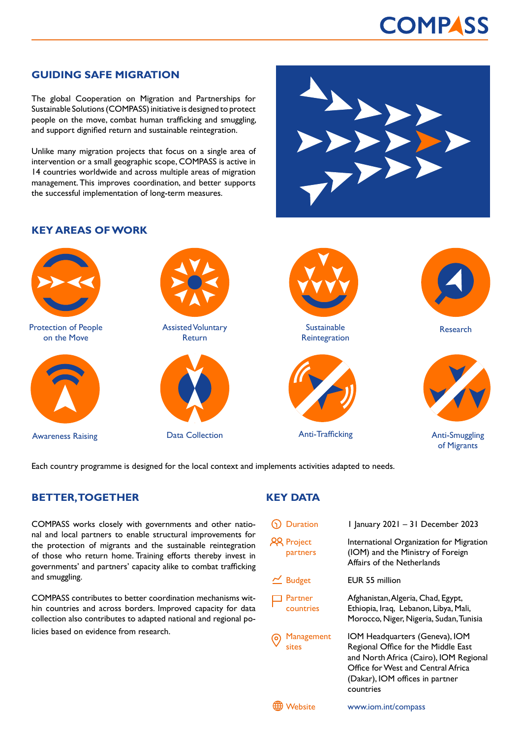# **COMPASS**

### **GUIDING SAFE MIGRATION**

The global Cooperation on Migration and Partnerships for Sustainable Solutions (COMPASS) initiative is designed to protect people on the move, combat human trafficking and smuggling, and support dignified return and sustainable reintegration.

Unlike many migration projects that focus on a single area of intervention or a small geographic scope, COMPASS is active in 14 countries worldwide and across multiple areas of migration management. This improves coordination, and better supports the successful implementation of long-term measures.

### **KEY AREAS OF WORK**



Each country programme is designed for the local context and implements activities adapted to needs.

### **BETTER, TOGETHER**

COMPASS works closely with governments and other national and local partners to enable structural improvements for the protection of migrants and the sustainable reintegration of those who return home. Training efforts thereby invest in governments' and partners' capacity alike to combat trafficking and smuggling.

COMPASS contributes to better coordination mechanisms within countries and across borders. Improved capacity for data collection also contributes to adapted national and regional policies based on evidence from research.

## **KEY DATA**

| <b>Duration</b>               | I January 2021 - 31 December 2023                                                                                                                                                        |
|-------------------------------|------------------------------------------------------------------------------------------------------------------------------------------------------------------------------------------|
| <b>22 Project</b><br>partners | International Organization for Migration<br>(IOM) and the Ministry of Foreign<br>Affairs of the Netherlands                                                                              |
| $\leq$ Budget                 | EUR 55 million                                                                                                                                                                           |
| Partner<br>countries          | Afghanistan, Algeria, Chad, Egypt,<br>Ethiopia, Iraq, Lebanon, Libya, Mali,<br>Morocco, Niger, Nigeria, Sudan, Tunisia                                                                   |
| Management<br>sites           | IOM Headquarters (Geneva), IOM<br>Regional Office for the Middle East<br>and North Africa (Cairo), IOM Regional<br>Office for West and Central Africa<br>(Dakar), IOM offices in partner |



countries